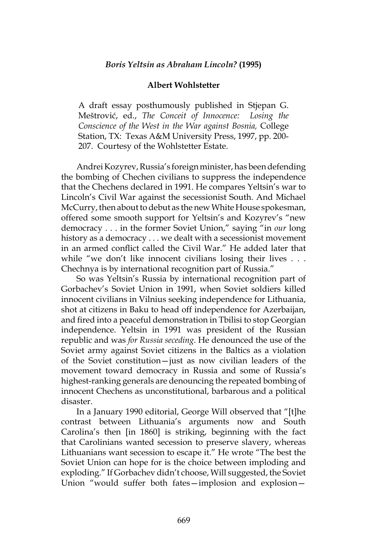## **Albert Wohlstetter**

A draft essay posthumously published in Stjepan G. Meštrović, ed., *The Conceit of Innocence: Losing the Conscience of the West in the War against Bosnia,* College Station, TX: Texas A&M University Press, 1997, pp. 200- 207. Courtesy of the Wohlstetter Estate.

Andrei Kozyrev, Russia's foreign minister, has been defending the bombing of Chechen civilians to suppress the independence that the Chechens declared in 1991. He compares Yeltsin's war to Lincoln's Civil War against the secessionist South. And Michael McCurry, then about to debut as the new White House spokesman, offered some smooth support for Yeltsin's and Kozyrev's "new democracy . . . in the former Soviet Union," saying "in *our* long history as a democracy . . . we dealt with a secessionist movement in an armed conflict called the Civil War." He added later that while "we don't like innocent civilians losing their lives . . . Chechnya is by international recognition part of Russia."

So was Yeltsin's Russia by international recognition part of Gorbachev's Soviet Union in 1991, when Soviet soldiers killed innocent civilians in Vilnius seeking independence for Lithuania, shot at citizens in Baku to head off independence for Azerbaijan, and fired into a peaceful demonstration in Tbilisi to stop Georgian independence. Yeltsin in 1991 was president of the Russian republic and was *for Russia seceding*. He denounced the use of the Soviet army against Soviet citizens in the Baltics as a violation of the Soviet constitution—just as now civilian leaders of the movement toward democracy in Russia and some of Russia's highest-ranking generals are denouncing the repeated bombing of innocent Chechens as unconstitutional, barbarous and a political disaster.

In a January 1990 editorial, George Will observed that "[t]he contrast between Lithuania's arguments now and South Carolina's then [in 1860] is striking, beginning with the fact that Carolinians wanted secession to preserve slavery, whereas Lithuanians want secession to escape it." He wrote "The best the Soviet Union can hope for is the choice between imploding and exploding." If Gorbachev didn't choose, Will suggested, the Soviet Union "would suffer both fates—implosion and explosion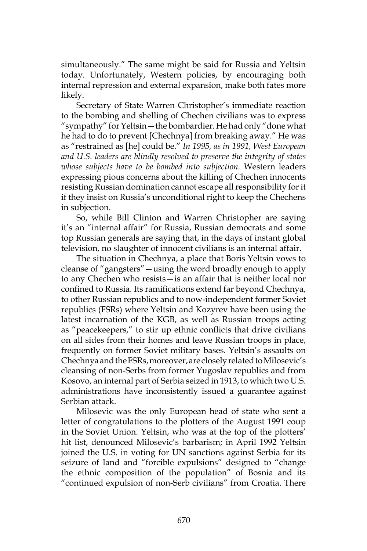simultaneously." The same might be said for Russia and Yeltsin today. Unfortunately, Western policies, by encouraging both internal repression and external expansion, make both fates more likely.

Secretary of State Warren Christopher's immediate reaction to the bombing and shelling of Chechen civilians was to express "sympathy" for Yeltsin—the bombardier. He had only "done what he had to do to prevent [Chechnya] from breaking away." He was as "restrained as [he] could be." *In 1995, as in 1991, West European and U.S. leaders are blindly resolved to preserve the integrity of states whose subjects have to be bombed into subjection.* Western leaders expressing pious concerns about the killing of Chechen innocents resisting Russian domination cannot escape all responsibility for it if they insist on Russia's unconditional right to keep the Chechens in subjection.

So, while Bill Clinton and Warren Christopher are saying it's an "internal affair" for Russia, Russian democrats and some top Russian generals are saying that, in the days of instant global television, no slaughter of innocent civilians is an internal affair.

The situation in Chechnya, a place that Boris Yeltsin vows to cleanse of "gangsters"—using the word broadly enough to apply to any Chechen who resists—is an affair that is neither local nor confined to Russia. Its ramifications extend far beyond Chechnya, to other Russian republics and to now-independent former Soviet republics (FSRs) where Yeltsin and Kozyrev have been using the latest incarnation of the KGB, as well as Russian troops acting as "peacekeepers," to stir up ethnic conflicts that drive civilians on all sides from their homes and leave Russian troops in place, frequently on former Soviet military bases. Yeltsin's assaults on Chechnya and the FSRs, moreover, are closely related to Milosevic's cleansing of non-Serbs from former Yugoslav republics and from Kosovo, an internal part of Serbia seized in 1913, to which two U.S. administrations have inconsistently issued a guarantee against Serbian attack.

Milosevic was the only European head of state who sent a letter of congratulations to the plotters of the August 1991 coup in the Soviet Union. Yeltsin, who was at the top of the plotters' hit list, denounced Milosevic's barbarism; in April 1992 Yeltsin joined the U.S. in voting for UN sanctions against Serbia for its seizure of land and "forcible expulsions" designed to "change the ethnic composition of the population" of Bosnia and its "continued expulsion of non-Serb civilians" from Croatia. There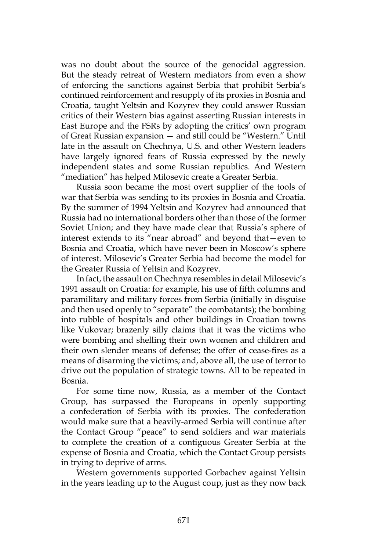was no doubt about the source of the genocidal aggression. But the steady retreat of Western mediators from even a show of enforcing the sanctions against Serbia that prohibit Serbia's continued reinforcement and resupply of its proxies in Bosnia and Croatia, taught Yeltsin and Kozyrev they could answer Russian critics of their Western bias against asserting Russian interests in East Europe and the FSRs by adopting the critics' own program of Great Russian expansion — and still could be "Western." Until late in the assault on Chechnya, U.S. and other Western leaders have largely ignored fears of Russia expressed by the newly independent states and some Russian republics. And Western "mediation" has helped Milosevic create a Greater Serbia.

Russia soon became the most overt supplier of the tools of war that Serbia was sending to its proxies in Bosnia and Croatia. By the summer of 1994 Yeltsin and Kozyrev had announced that Russia had no international borders other than those of the former Soviet Union; and they have made clear that Russia's sphere of interest extends to its "near abroad" and beyond that—even to Bosnia and Croatia, which have never been in Moscow's sphere of interest. Milosevic's Greater Serbia had become the model for the Greater Russia of Yeltsin and Kozyrev.

In fact, the assault on Chechnya resembles in detail Milosevic's 1991 assault on Croatia: for example, his use of fifth columns and paramilitary and military forces from Serbia (initially in disguise and then used openly to "separate" the combatants); the bombing into rubble of hospitals and other buildings in Croatian towns like Vukovar; brazenly silly claims that it was the victims who were bombing and shelling their own women and children and their own slender means of defense; the offer of cease-fires as a means of disarming the victims; and, above all, the use of terror to drive out the population of strategic towns. All to be repeated in Bosnia.

For some time now, Russia, as a member of the Contact Group, has surpassed the Europeans in openly supporting a confederation of Serbia with its proxies. The confederation would make sure that a heavily-armed Serbia will continue after the Contact Group "peace" to send soldiers and war materials to complete the creation of a contiguous Greater Serbia at the expense of Bosnia and Croatia, which the Contact Group persists in trying to deprive of arms.

Western governments supported Gorbachev against Yeltsin in the years leading up to the August coup, just as they now back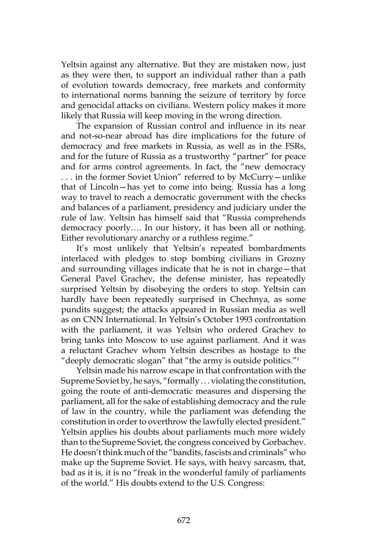Yeltsin against any alternative. But they are mistaken now, just as they were then, to support an individual rather than a path of evolution towards democracy, free markets and conformity to international norms banning the seizure of territory by force and genocidal attacks on civilians. Western policy makes it more likely that Russia will keep moving in the wrong direction.

The expansion of Russian control and influence in its near and not-so-near abroad has dire implications for the future of democracy and free markets in Russia, as well as in the FSRs, and for the future of Russia as a trustworthy "partner" for peace and for arms control agreements. In fact, the "new democracy . . . in the former Soviet Union" referred to by McCurry—unlike that of Lincoln—has yet to come into being. Russia has a long way to travel to reach a democratic government with the checks and balances of a parliament, presidency and judiciary under the rule of law. Yeltsin has himself said that "Russia comprehends democracy poorly…. In our history, it has been all or nothing. Either revolutionary anarchy or a ruthless regime."

It's most unlikely that Yeltsin's repeated bombardments interlaced with pledges to stop bombing civilians in Grozny and surrounding villages indicate that he is not in charge—that General Pavel Grachev, the defense minister, has repeatedly surprised Yeltsin by disobeying the orders to stop. Yeltsin can hardly have been repeatedly surprised in Chechnya, as some pundits suggest; the attacks appeared in Russian media as well as on CNN International. In Yeltsin's October 1993 confrontation with the parliament, it was Yeltsin who ordered Grachev to bring tanks into Moscow to use against parliament. And it was a reluctant Grachev whom Yeltsin describes as hostage to the " deeply democratic slogan" that "the army is outside politics."<sup>1</sup>

Yeltsin made his narrow escape in that confrontation with the Supreme Soviet by, he says, "formally . . . violating the constitution, going the route of anti-democratic measures and dispersing the parliament, all for the sake of establishing democracy and the rule of law in the country, while the parliament was defending the constitution in order to overthrow the lawfully elected president." Yeltsin applies his doubts about parliaments much more widely than to the Supreme Soviet, the congress conceived by Gorbachev. He doesn't think much of the "bandits, fascists and criminals" who make up the Supreme Soviet. He says, with heavy sarcasm, that, bad as it is, it is no "freak in the wonderful family of parliaments of the world." His doubts extend to the U.S. Congress: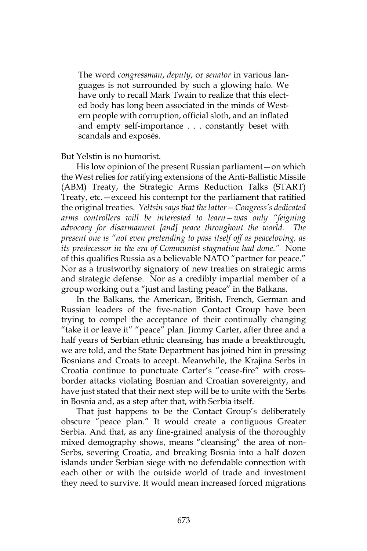The word *congressman*, *deputy*, or *senator* in various languages is not surrounded by such a glowing halo. We have only to recall Mark Twain to realize that this elected body has long been associated in the minds of Western people with corruption, official sloth, and an inflated and empty self-importance . . . constantly beset with scandals and exposés.

## But Yelstin is no humorist.

His low opinion of the present Russian parliament—on which the West relies for ratifying extensions of the Anti-Ballistic Missile (ABM) Treaty, the Strategic Arms Reduction Talks (START) Treaty, etc.—exceed his contempt for the parliament that ratified the original treaties. *Yeltsin says that the latter—Congress's dedicated arms controllers will be interested to learn—was only "feigning advocacy for disarmament [and] peace throughout the world. The present one is "not even pretending to pass itself off as peaceloving, as its predecessor in the era of Communist stagnation had done."* None of this qualifies Russia as a believable NATO "partner for peace." Nor as a trustworthy signatory of new treaties on strategic arms and strategic defense. Nor as a credibly impartial member of a group working out a "just and lasting peace" in the Balkans.

In the Balkans, the American, British, French, German and Russian leaders of the five-nation Contact Group have been trying to compel the acceptance of their continually changing "take it or leave it" "peace" plan. Jimmy Carter, after three and a half years of Serbian ethnic cleansing, has made a breakthrough, we are told, and the State Department has joined him in pressing Bosnians and Croats to accept. Meanwhile, the Krajina Serbs in Croatia continue to punctuate Carter's "cease-fire" with crossborder attacks violating Bosnian and Croatian sovereignty, and have just stated that their next step will be to unite with the Serbs in Bosnia and, as a step after that, with Serbia itself.

That just happens to be the Contact Group's deliberately obscure "peace plan." It would create a contiguous Greater Serbia. And that, as any fine-grained analysis of the thoroughly mixed demography shows, means "cleansing" the area of non-Serbs, severing Croatia, and breaking Bosnia into a half dozen islands under Serbian siege with no defendable connection with each other or with the outside world of trade and investment they need to survive. It would mean increased forced migrations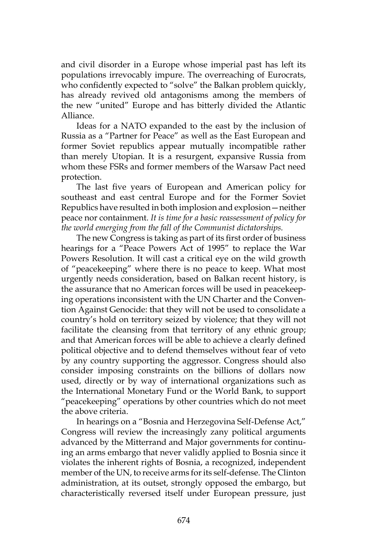and civil disorder in a Europe whose imperial past has left its populations irrevocably impure. The overreaching of Eurocrats, who confidently expected to "solve" the Balkan problem quickly, has already revived old antagonisms among the members of the new "united" Europe and has bitterly divided the Atlantic Alliance.

Ideas for a NATO expanded to the east by the inclusion of Russia as a "Partner for Peace" as well as the East European and former Soviet republics appear mutually incompatible rather than merely Utopian. It is a resurgent, expansive Russia from whom these FSRs and former members of the Warsaw Pact need protection.

The last five years of European and American policy for southeast and east central Europe and for the Former Soviet Republics have resulted in both implosion and explosion—neither peace nor containment. *It is time for a basic reassessment of policy for the world emerging from the fall of the Communist dictatorships.*

The new Congress is taking as part of its first order of business hearings for a "Peace Powers Act of 1995" to replace the War Powers Resolution. It will cast a critical eye on the wild growth of "peacekeeping" where there is no peace to keep. What most urgently needs consideration, based on Balkan recent history, is the assurance that no American forces will be used in peacekeeping operations inconsistent with the UN Charter and the Convention Against Genocide: that they will not be used to consolidate a country's hold on territory seized by violence; that they will not facilitate the cleansing from that territory of any ethnic group; and that American forces will be able to achieve a clearly defined political objective and to defend themselves without fear of veto by any country supporting the aggressor. Congress should also consider imposing constraints on the billions of dollars now used, directly or by way of international organizations such as the International Monetary Fund or the World Bank, to support "peacekeeping" operations by other countries which do not meet the above criteria.

In hearings on a "Bosnia and Herzegovina Self-Defense Act," Congress will review the increasingly zany political arguments advanced by the Mitterrand and Major governments for continuing an arms embargo that never validly applied to Bosnia since it violates the inherent rights of Bosnia, a recognized, independent member of the UN, to receive arms for its self-defense. The Clinton administration, at its outset, strongly opposed the embargo, but characteristically reversed itself under European pressure, just